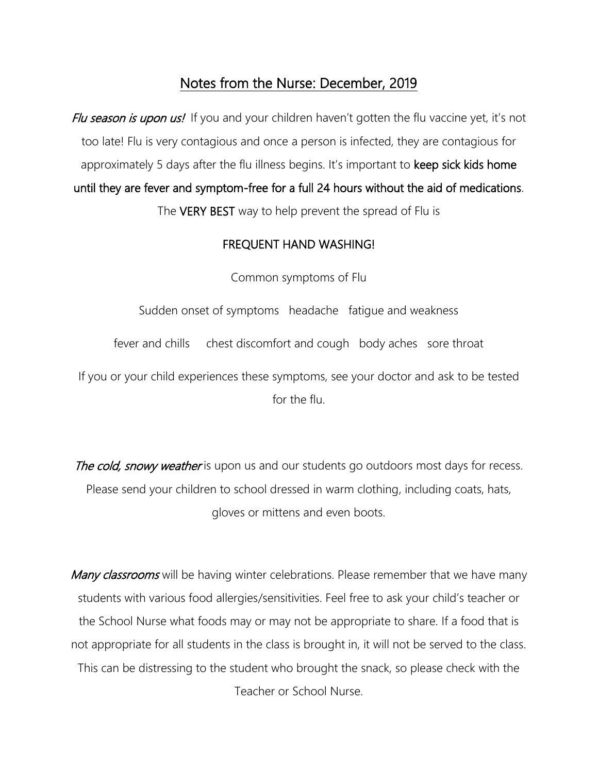## Notes from the Nurse: December, 2019

Flu season is upon us! If you and your children haven't gotten the flu vaccine yet, it's not too late! Flu is very contagious and once a person is infected, they are contagious for approximately 5 days after the flu illness begins. It's important to keep sick kids home until they are fever and symptom-free for a full 24 hours without the aid of medications. The **VERY BEST** way to help prevent the spread of Flu is

## FREQUENT HAND WASHING!

Common symptoms of Flu

Sudden onset of symptoms headache fatigue and weakness

fever and chills chest discomfort and cough body aches sore throat

If you or your child experiences these symptoms, see your doctor and ask to be tested for the flu.

The cold, snowy weather is upon us and our students go outdoors most days for recess. Please send your children to school dressed in warm clothing, including coats, hats, gloves or mittens and even boots.

Many classrooms will be having winter celebrations. Please remember that we have many students with various food allergies/sensitivities. Feel free to ask your child's teacher or the School Nurse what foods may or may not be appropriate to share. If a food that is not appropriate for all students in the class is brought in, it will not be served to the class. This can be distressing to the student who brought the snack, so please check with the Teacher or School Nurse.